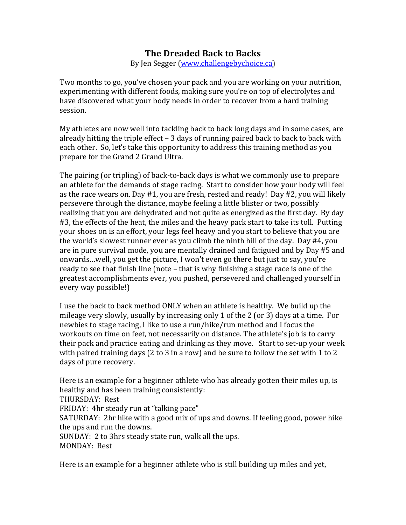## **The Dreaded Back to Backs**

By Jen Segger (www.challengebychoice.ca)

Two months to go, you've chosen your pack and you are working on your nutrition, experimenting with different foods, making sure you're on top of electrolytes and have discovered what your body needs in order to recover from a hard training session.

My athletes are now well into tackling back to back long days and in some cases, are already hitting the triple effect – 3 days of running paired back to back to back with each other. So, let's take this opportunity to address this training method as you prepare for the Grand 2 Grand Ultra.

The pairing (or tripling) of back-to-back days is what we commonly use to prepare an athlete for the demands of stage racing. Start to consider how your body will feel as the race wears on. Day #1, you are fresh, rested and ready! Day #2, you will likely persevere through the distance, maybe feeling a little blister or two, possibly realizing that you are dehydrated and not quite as energized as the first day. By day #3, the effects of the heat, the miles and the heavy pack start to take its toll. Putting your shoes on is an effort, your legs feel heavy and you start to believe that you are the world's slowest runner ever as you climb the ninth hill of the day. Day #4, you are in pure survival mode, you are mentally drained and fatigued and by Day #5 and onwards...well, you get the picture, I won't even go there but just to say, you're ready to see that finish line (note – that is why finishing a stage race is one of the greatest accomplishments ever, you pushed, persevered and challenged yourself in every way possible!)

I use the back to back method ONLY when an athlete is healthy. We build up the mileage very slowly, usually by increasing only 1 of the 2 (or 3) days at a time. For newbies to stage racing, I like to use a run/hike/run method and I focus the workouts on time on feet, not necessarily on distance. The athlete's job is to carry their pack and practice eating and drinking as they move. Start to set-up your week with paired training days (2 to 3 in a row) and be sure to follow the set with 1 to 2 days of pure recovery.

Here is an example for a beginner athlete who has already gotten their miles up, is healthy and has been training consistently:

THURSDAY: Rest

FRIDAY: 4hr steady run at "talking pace"

SATURDAY: 2hr hike with a good mix of ups and downs. If feeling good, power hike the ups and run the downs.

SUNDAY: 2 to 3hrs steady state run, walk all the ups.

MONDAY: Rest

Here is an example for a beginner athlete who is still building up miles and yet,